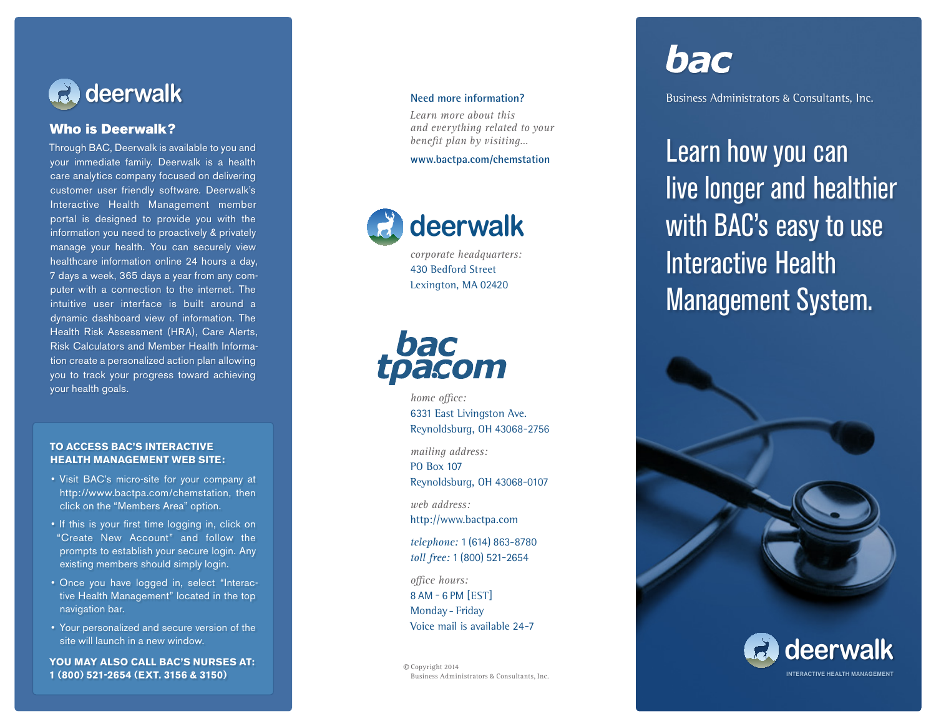

### Who is Deerwalk?

Through BAC, Deerwalk is available to you and your immediate family. Deerwalk is a health care analytics company focused on delivering customer user friendly software. Deerwalk's Interactive Health Management member portal is designed to provide you with the information you need to proactively & privately manage your health. You can securely view healthcare information online 24 hours a day, 7 days a week, 365 days a year from any com puter with a connection to the internet. The intuitive user interface is built around a dynamic dashboard view of information. The Health Risk Assessment (HRA), Care Alerts, Risk Calculators and Member Health Informa tion create a personalized action plan allowing you to track your progress toward achieving your health goals.

### **TO ACCESS BAC'S INTERACTIVE HEALTH MANAGEMENT WEB SITE:**

- Visit BAC's micro-site for your company at http://www.bactpa.com/chemstation, then click on the "Members Area" option.
- If this is your first time logging in, click on "Create New Account" and follow the prompts to establish your secure login. Any existing members should simply login.
- Once you have logged in, select "Interactive Health Management" located in the top navigation bar.
- Your personalized and secure version of the site will launch in a new window.

**YOU MAY ALSO CALL BAC'S NURSES AT: 1 (800) 521-2654 (EXT. 3156 & 3150)**

*Learn more about this and everything related to your benefit plan by visiting…*

### **www.bactpa.com /chemstation**



*corporate headquarters :* 430 Bedford Street Lexington, MA 02420



*home* office: 6 3 31 East Livingston Ave. R eynoldsburg, OH 4 3 068 -2756

*mailing address:* PO Box 107 Reynoldsburg, OH 43068 -0107

*web address:* http://www.bactpa.com

telephone: 1 (614) 863-8780 toll free: 1 (800) 521-2654

*omce hours:* 8 AM - 6 PM [EST] Monday - Friday Voice mail is available 24-7

© Copyright 2014 Business Administrators *%* Consultants, Inc.

# bac

Business Administrators *\$* Consultants, Inc.

Learn how you can live longer and healthier with **BAC's easy to use** Interactive Health Management System.